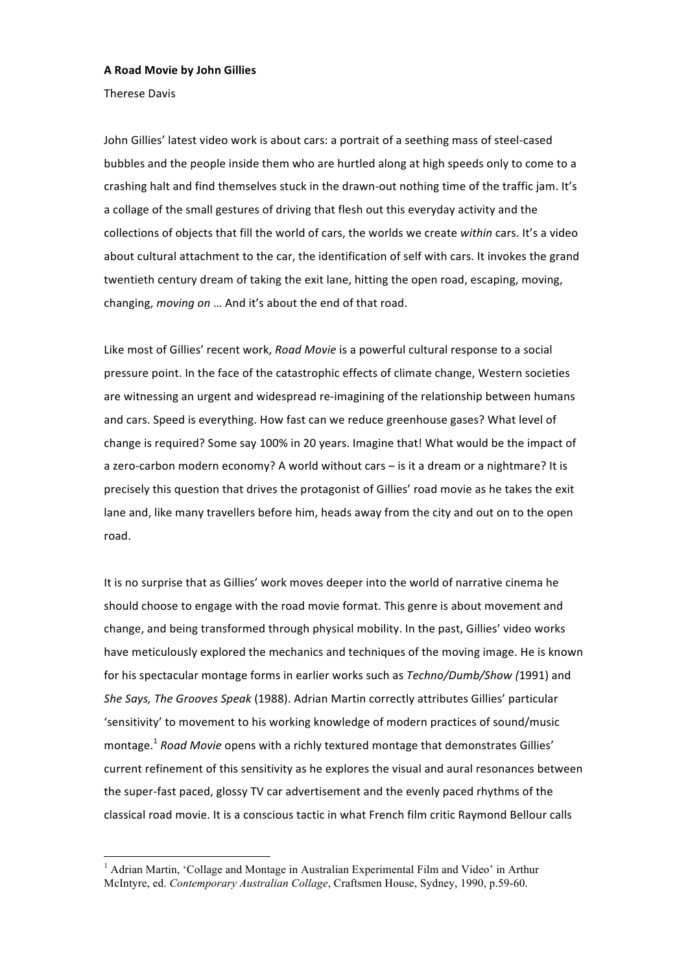## **A Road Movie by John Gillies**

Therese Davis

John Gillies' latest video work is about cars: a portrait of a seething mass of steel‐cased bubbles and the people inside them who are hurtled along at high speeds only to come to a crashing halt and find themselves stuck in the drawn-out nothing time of the traffic jam. It's a collage of the small gestures of driving that flesh out this everyday activity and the collections of objects that fill the world of cars, the worlds we create *within* cars. It's a video about cultural attachment to the car, the identification of self with cars. It invokes the grand twentieth century dream of taking the exit lane, hitting the open road, escaping, moving, changing, *moving on* … And it's about the end of that road.

Like most of Gillies' recent work, *Road Movie* is a powerful cultural response to a social pressure point. In the face of the catastrophic effects of climate change, Western societies are witnessing an urgent and widespread re-imagining of the relationship between humans and cars. Speed is everything. How fast can we reduce greenhouse gases? What level of change is required? Some say 100% in 20 years. Imagine that! What would be the impact of a zero-carbon modern economy? A world without cars – is it a dream or a nightmare? It is precisely this question that drives the protagonist of Gillies' road movie as he takes the exit lane and, like many travellers before him, heads away from the city and out on to the open road.

It is no surprise that as Gillies' work moves deeper into the world of narrative cinema he should choose to engage with the road movie format. This genre is about movement and change, and being transformed through physical mobility. In the past, Gillies' video works have meticulously explored the mechanics and techniques of the moving image. He is known for his spectacular montage forms in earlier works such as *Techno/Dumb/Show (*1991) and *She Says, The Grooves Speak* (1988). Adrian Martin correctly attributes Gillies' particular 'sensitivity' to movement to his working knowledge of modern practices of sound/music montage.<sup>1</sup> *Road Movie* opens with a richly textured montage that demonstrates Gillies' current refinement of this sensitivity as he explores the visual and aural resonances between the super‐fast paced, glossy TV car advertisement and the evenly paced rhythms of the classical road movie. It is a conscious tactic in what French film critic Raymond Bellour calls

 $\frac{1}{1}$ <sup>1</sup> Adrian Martin, 'Collage and Montage in Australian Experimental Film and Video' in Arthur McIntyre, ed. *Contemporary Australian Collage*, Craftsmen House, Sydney, 1990, p.59-60.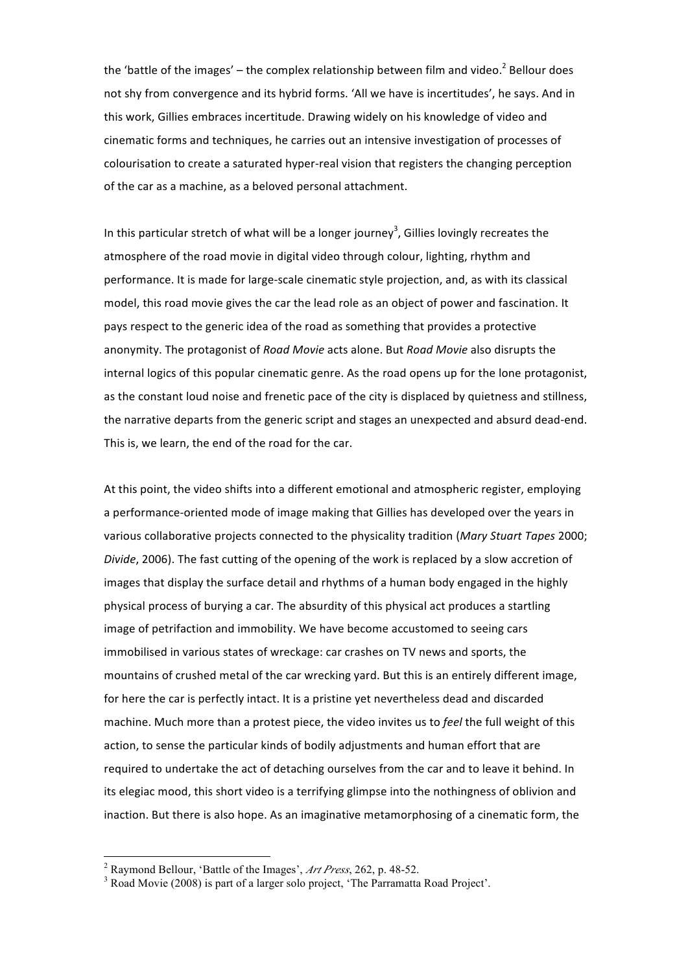the 'battle of the images' – the complex relationship between film and video.<sup>2</sup> Bellour does not shy from convergence and its hybrid forms. 'All we have is incertitudes', he says. And in this work, Gillies embraces incertitude. Drawing widely on his knowledge of video and cinematic forms and techniques, he carries out an intensive investigation of processes of colourisation to create a saturated hyper‐real vision that registers the changing perception of the car as a machine, as a beloved personal attachment.

In this particular stretch of what will be a longer journey<sup>3</sup>, Gillies lovingly recreates the atmosphere of the road movie in digital video through colour, lighting, rhythm and performance. It is made for large‐scale cinematic style projection, and, as with its classical model, this road movie gives the car the lead role as an object of power and fascination. It pays respect to the generic idea of the road as something that provides a protective anonymity. The protagonist of *Road Movie* acts alone. But *Road Movie* also disrupts the internal logics of this popular cinematic genre. As the road opens up for the lone protagonist, as the constant loud noise and frenetic pace of the city is displaced by quietness and stillness, the narrative departs from the generic script and stages an unexpected and absurd dead‐end. This is, we learn, the end of the road for the car.

At this point, the video shifts into a different emotional and atmospheric register, employing a performance‐oriented mode of image making that Gillies has developed over the years in various collaborative projects connected to the physicality tradition (*Mary Stuart Tapes* 2000; *Divide*, 2006). The fast cutting of the opening of the work is replaced by a slow accretion of images that display the surface detail and rhythms of a human body engaged in the highly physical process of burying a car. The absurdity of this physical act produces a startling image of petrifaction and immobility. We have become accustomed to seeing cars immobilised in various states of wreckage: car crashes on TV news and sports, the mountains of crushed metal of the car wrecking yard. But this is an entirely different image, for here the car is perfectly intact. It is a pristine yet nevertheless dead and discarded machine. Much more than a protest piece, the video invites us to *feel* the full weight of this action, to sense the particular kinds of bodily adjustments and human effort that are required to undertake the act of detaching ourselves from the car and to leave it behind. In its elegiac mood, this short video is a terrifying glimpse into the nothingness of oblivion and inaction. But there is also hope. As an imaginative metamorphosing of a cinematic form, the

 $\frac{1}{2}$ Raymond Bellour, 'Battle of the Images', *Art Press*, 262, p. 48-52. <sup>3</sup>

 $3$  Road Movie (2008) is part of a larger solo project, 'The Parramatta Road Project'.